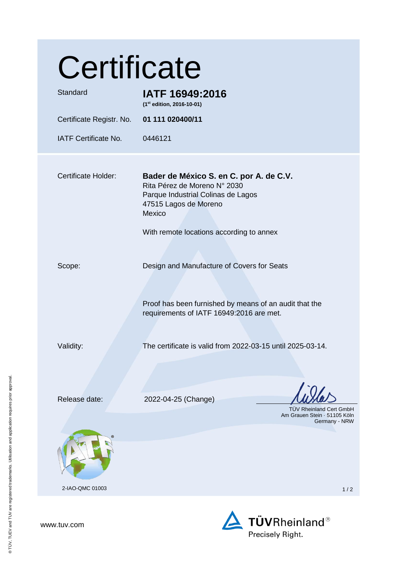| Certificate                               |                                                                                                                                                                                              |
|-------------------------------------------|----------------------------------------------------------------------------------------------------------------------------------------------------------------------------------------------|
| Standard                                  | IATF 16949:2016<br>(1st edition, 2016-10-01)                                                                                                                                                 |
| Certificate Registr. No. 01 111 020400/11 |                                                                                                                                                                                              |
| <b>IATF Certificate No.</b>               | 0446121                                                                                                                                                                                      |
| <b>Certificate Holder:</b>                | Bader de México S. en C. por A. de C.V.<br>Rita Pérez de Moreno N° 2030<br>Parque Industrial Colinas de Lagos<br>47515 Lagos de Moreno<br>Mexico<br>With remote locations according to annex |
| Scope:                                    | Design and Manufacture of Covers for Seats<br>Proof has been furnished by means of an audit that the<br>requirements of IATF 16949:2016 are met.                                             |
| Validity:                                 | The certificate is valid from 2022-03-15 until 2025-03-14.                                                                                                                                   |
| Release date:                             | 2022-04-25 (Change)<br>TÜV Rheinland Cert GmbH<br>Am Grauen Stein · 51105 Köln<br>Germany - NRW                                                                                              |
| 2-IAO-QMC 01003                           | 1/2                                                                                                                                                                                          |

www.tuv.com